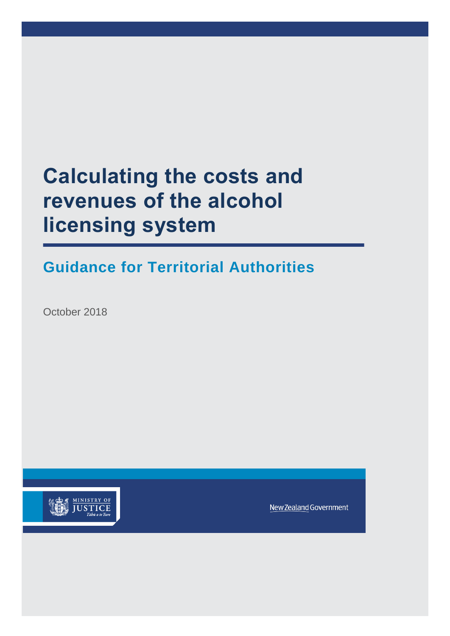# **Calculating the costs and revenues of the alcohol licensing system**

## **Guidance for Territorial Authorities**

October 2018



New Zealand Government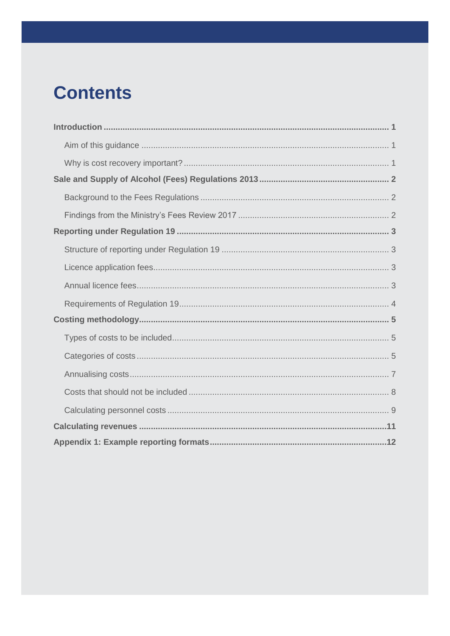# **Contents**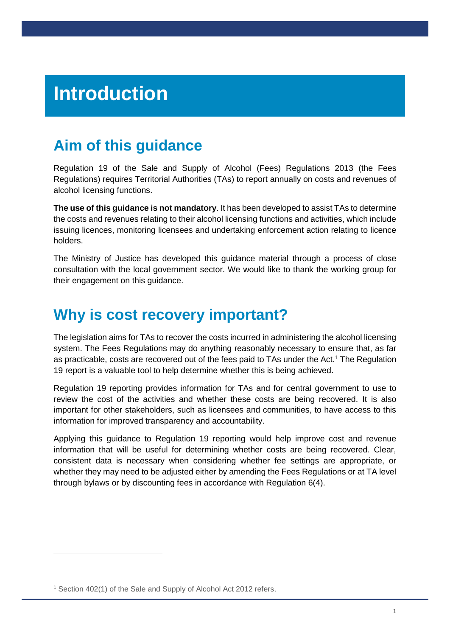# <span id="page-2-0"></span>**Introduction**

## <span id="page-2-1"></span>**Aim of this guidance**

Regulation 19 of the Sale and Supply of Alcohol (Fees) Regulations 2013 (the Fees Regulations) requires Territorial Authorities (TAs) to report annually on costs and revenues of alcohol licensing functions.

**The use of this guidance is not mandatory**. It has been developed to assist TAs to determine the costs and revenues relating to their alcohol licensing functions and activities, which include issuing licences, monitoring licensees and undertaking enforcement action relating to licence holders.

The Ministry of Justice has developed this guidance material through a process of close consultation with the local government sector. We would like to thank the working group for their engagement on this guidance.

## <span id="page-2-2"></span>**Why is cost recovery important?**

The legislation aims for TAs to recover the costs incurred in administering the alcohol licensing system. The Fees Regulations may do anything reasonably necessary to ensure that, as far as practicable, costs are recovered out of the fees paid to TAs under the Act. <sup>1</sup> The Regulation 19 report is a valuable tool to help determine whether this is being achieved.

Regulation 19 reporting provides information for TAs and for central government to use to review the cost of the activities and whether these costs are being recovered. It is also important for other stakeholders, such as licensees and communities, to have access to this information for improved transparency and accountability.

Applying this guidance to Regulation 19 reporting would help improve cost and revenue information that will be useful for determining whether costs are being recovered. Clear, consistent data is necessary when considering whether fee settings are appropriate, or whether they may need to be adjusted either by amending the Fees Regulations or at TA level through bylaws or by discounting fees in accordance with Regulation 6(4).

 $\overline{a}$ 

<sup>&</sup>lt;sup>1</sup> Section 402(1) of the Sale and Supply of Alcohol Act 2012 refers.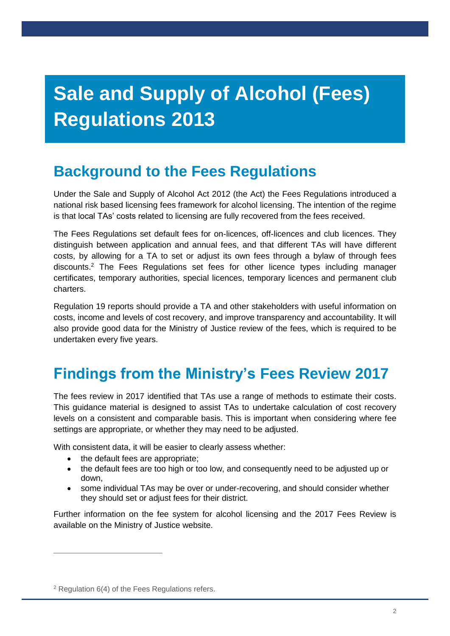# <span id="page-3-0"></span>**Sale and Supply of Alcohol (Fees) Regulations 2013**

## <span id="page-3-1"></span>**Background to the Fees Regulations**

Under the Sale and Supply of Alcohol Act 2012 (the Act) the Fees Regulations introduced a national risk based licensing fees framework for alcohol licensing. The intention of the regime is that local TAs' costs related to licensing are fully recovered from the fees received.

The Fees Regulations set default fees for on-licences, off-licences and club licences. They distinguish between application and annual fees, and that different TAs will have different costs, by allowing for a TA to set or adjust its own fees through a bylaw of through fees discounts.<sup>2</sup> The Fees Regulations set fees for other licence types including manager certificates, temporary authorities, special licences, temporary licences and permanent club charters.

Regulation 19 reports should provide a TA and other stakeholders with useful information on costs, income and levels of cost recovery, and improve transparency and accountability. It will also provide good data for the Ministry of Justice review of the fees, which is required to be undertaken every five years.

## <span id="page-3-2"></span>**Findings from the Ministry's Fees Review 2017**

The fees review in 2017 identified that TAs use a range of methods to estimate their costs. This guidance material is designed to assist TAs to undertake calculation of cost recovery levels on a consistent and comparable basis. This is important when considering where fee settings are appropriate, or whether they may need to be adjusted.

With consistent data, it will be easier to clearly assess whether:

- the default fees are appropriate;
- the default fees are too high or too low, and consequently need to be adjusted up or down,
- some individual TAs may be over or under-recovering, and should consider whether they should set or adjust fees for their district.

Further information on the fee system for alcohol licensing and the 2017 Fees Review is available on the Ministry of Justice website.

 $\overline{a}$ 

<sup>2</sup> Regulation 6(4) of the Fees Regulations refers.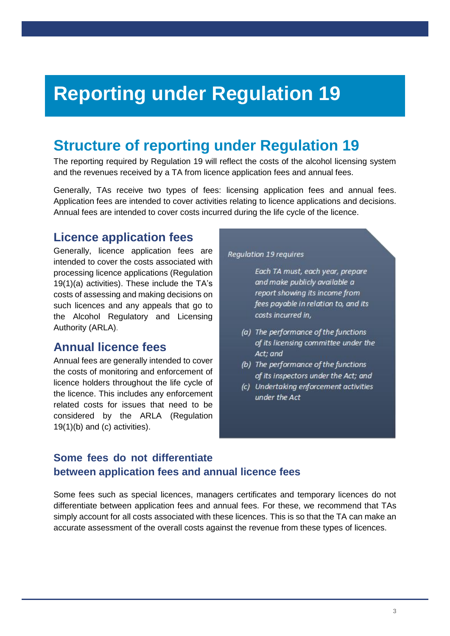# <span id="page-4-0"></span>**Reporting under Regulation 19**

## <span id="page-4-1"></span>**Structure of reporting under Regulation 19**

The reporting required by Regulation 19 will reflect the costs of the alcohol licensing system and the revenues received by a TA from licence application fees and annual fees.

Generally, TAs receive two types of fees: licensing application fees and annual fees. Application fees are intended to cover activities relating to licence applications and decisions. Annual fees are intended to cover costs incurred during the life cycle of the licence.

## <span id="page-4-2"></span>**Licence application fees**

Generally, licence application fees are intended to cover the costs associated with processing licence applications (Regulation 19(1)(a) activities). These include the TA's costs of assessing and making decisions on such licences and any appeals that go to the Alcohol Regulatory and Licensing Authority (ARLA).

### <span id="page-4-3"></span>**Annual licence fees**

Annual fees are generally intended to cover the costs of monitoring and enforcement of licence holders throughout the life cycle of the licence. This includes any enforcement related costs for issues that need to be considered by the ARLA (Regulation 19(1)(b) and (c) activities).

#### Regulation 19 requires

Each TA must, each year, prepare and make publicly available a report showing its income from fees payable in relation to, and its costs incurred in,

- (a) The performance of the functions of its licensing committee under the Act: and
- (b) The performance of the functions of its inspectors under the Act; and
- (c) Undertaking enforcement activities under the Act

### **Some fees do not differentiate between application fees and annual licence fees**

Some fees such as special licences, managers certificates and temporary licences do not differentiate between application fees and annual fees. For these, we recommend that TAs simply account for all costs associated with these licences. This is so that the TA can make an accurate assessment of the overall costs against the revenue from these types of licences.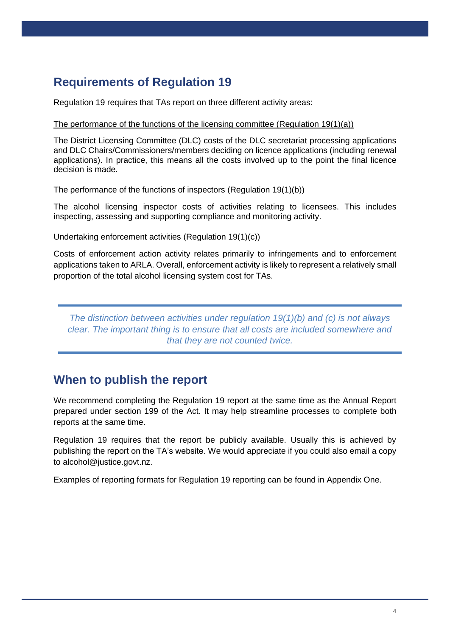## <span id="page-5-0"></span>**Requirements of Regulation 19**

Regulation 19 requires that TAs report on three different activity areas:

#### The performance of the functions of the licensing committee (Regulation 19(1)(a))

The District Licensing Committee (DLC) costs of the DLC secretariat processing applications and DLC Chairs/Commissioners/members deciding on licence applications (including renewal applications). In practice, this means all the costs involved up to the point the final licence decision is made.

#### The performance of the functions of inspectors (Regulation 19(1)(b))

The alcohol licensing inspector costs of activities relating to licensees. This includes inspecting, assessing and supporting compliance and monitoring activity.

Undertaking enforcement activities (Regulation 19(1)(c))

Costs of enforcement action activity relates primarily to infringements and to enforcement applications taken to ARLA. Overall, enforcement activity is likely to represent a relatively small proportion of the total alcohol licensing system cost for TAs.

*The distinction between activities under regulation 19(1)(b) and (c) is not always clear. The important thing is to ensure that all costs are included somewhere and that they are not counted twice.*

## **When to publish the report**

We recommend completing the Regulation 19 report at the same time as the Annual Report prepared under section 199 of the Act. It may help streamline processes to complete both reports at the same time.

Regulation 19 requires that the report be publicly available. Usually this is achieved by publishing the report on the TA's website. We would appreciate if you could also email a copy to alcohol@justice.govt.nz.

Examples of reporting formats for Regulation 19 reporting can be found in Appendix One.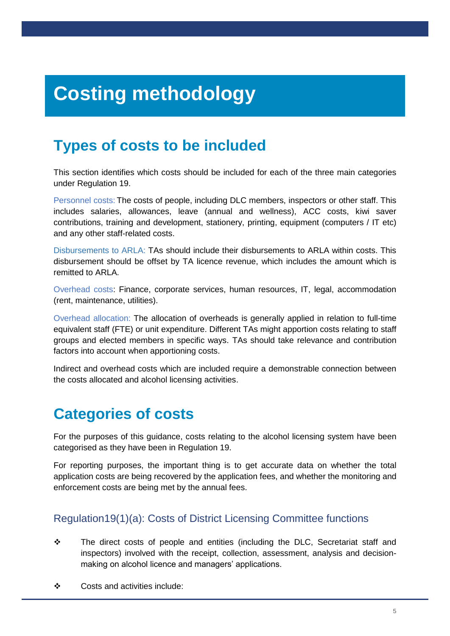# <span id="page-6-0"></span>**Costing methodology**

## <span id="page-6-1"></span>**Types of costs to be included**

This section identifies which costs should be included for each of the three main categories under Regulation 19.

Personnel costs: The costs of people, including DLC members, inspectors or other staff. This includes salaries, allowances, leave (annual and wellness), ACC costs, kiwi saver contributions, training and development, stationery, printing, equipment (computers / IT etc) and any other staff-related costs.

Disbursements to ARLA: TAs should include their disbursements to ARLA within costs. This disbursement should be offset by TA licence revenue, which includes the amount which is remitted to ARLA.

Overhead costs: Finance, corporate services, human resources, IT, legal, accommodation (rent, maintenance, utilities).

Overhead allocation: The allocation of overheads is generally applied in relation to full-time equivalent staff (FTE) or unit expenditure. Different TAs might apportion costs relating to staff groups and elected members in specific ways. TAs should take relevance and contribution factors into account when apportioning costs.

Indirect and overhead costs which are included require a demonstrable connection between the costs allocated and alcohol licensing activities.

## <span id="page-6-2"></span>**Categories of costs**

For the purposes of this guidance, costs relating to the alcohol licensing system have been categorised as they have been in Regulation 19.

For reporting purposes, the important thing is to get accurate data on whether the total application costs are being recovered by the application fees, and whether the monitoring and enforcement costs are being met by the annual fees.

### Regulation19(1)(a): Costs of District Licensing Committee functions

- ❖ The direct costs of people and entities (including the DLC, Secretariat staff and inspectors) involved with the receipt, collection, assessment, analysis and decisionmaking on alcohol licence and managers' applications.
- ❖ Costs and activities include: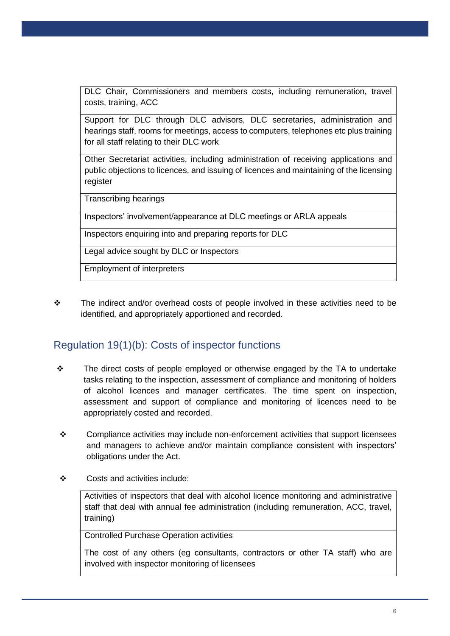DLC Chair, Commissioners and members costs, including remuneration, travel costs, training, ACC

Support for DLC through DLC advisors, DLC secretaries, administration and hearings staff, rooms for meetings, access to computers, telephones etc plus training for all staff relating to their DLC work

Other Secretariat activities, including administration of receiving applications and public objections to licences, and issuing of licences and maintaining of the licensing register

Transcribing hearings

Inspectors' involvement/appearance at DLC meetings or ARLA appeals

Inspectors enquiring into and preparing reports for DLC

Legal advice sought by DLC or Inspectors

Employment of interpreters

❖ The indirect and/or overhead costs of people involved in these activities need to be identified, and appropriately apportioned and recorded.

### Regulation 19(1)(b): Costs of inspector functions

- ❖ The direct costs of people employed or otherwise engaged by the TA to undertake tasks relating to the inspection, assessment of compliance and monitoring of holders of alcohol licences and manager certificates. The time spent on inspection, assessment and support of compliance and monitoring of licences need to be appropriately costed and recorded.
- $\div$  Compliance activities may include non-enforcement activities that support licensees and managers to achieve and/or maintain compliance consistent with inspectors' obligations under the Act.
- ❖ Costs and activities include:

Activities of inspectors that deal with alcohol licence monitoring and administrative staff that deal with annual fee administration (including remuneration, ACC, travel, training)

Controlled Purchase Operation activities

The cost of any others (eg consultants, contractors or other TA staff) who are involved with inspector monitoring of licensees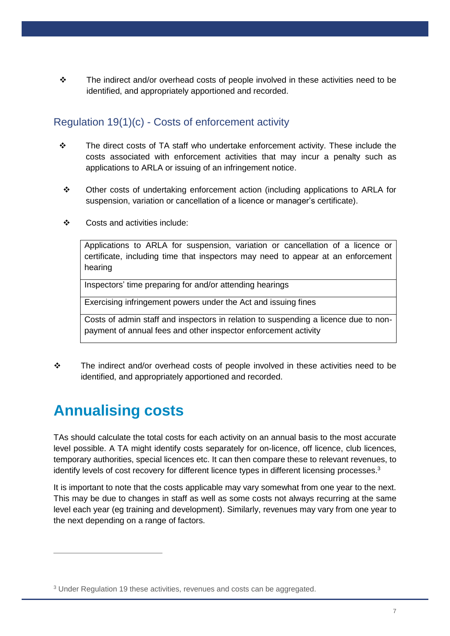❖ The indirect and/or overhead costs of people involved in these activities need to be identified, and appropriately apportioned and recorded.

### Regulation 19(1)(c) - Costs of enforcement activity

- ❖ The direct costs of TA staff who undertake enforcement activity. These include the costs associated with enforcement activities that may incur a penalty such as applications to ARLA or issuing of an infringement notice.
	- ❖ Other costs of undertaking enforcement action (including applications to ARLA for suspension, variation or cancellation of a licence or manager's certificate).
	- ❖ Costs and activities include:

Applications to ARLA for suspension, variation or cancellation of a licence or certificate, including time that inspectors may need to appear at an enforcement hearing

Inspectors' time preparing for and/or attending hearings

Exercising infringement powers under the Act and issuing fines

Costs of admin staff and inspectors in relation to suspending a licence due to nonpayment of annual fees and other inspector enforcement activity

❖ The indirect and/or overhead costs of people involved in these activities need to be identified, and appropriately apportioned and recorded.

## <span id="page-8-0"></span>**Annualising costs**

 $\overline{a}$ 

TAs should calculate the total costs for each activity on an annual basis to the most accurate level possible. A TA might identify costs separately for on-licence, off licence, club licences, temporary authorities, special licences etc. It can then compare these to relevant revenues, to identify levels of cost recovery for different licence types in different licensing processes.<sup>3</sup>

It is important to note that the costs applicable may vary somewhat from one year to the next. This may be due to changes in staff as well as some costs not always recurring at the same level each year (eg training and development). Similarly, revenues may vary from one year to the next depending on a range of factors.

<sup>3</sup> Under Regulation 19 these activities, revenues and costs can be aggregated.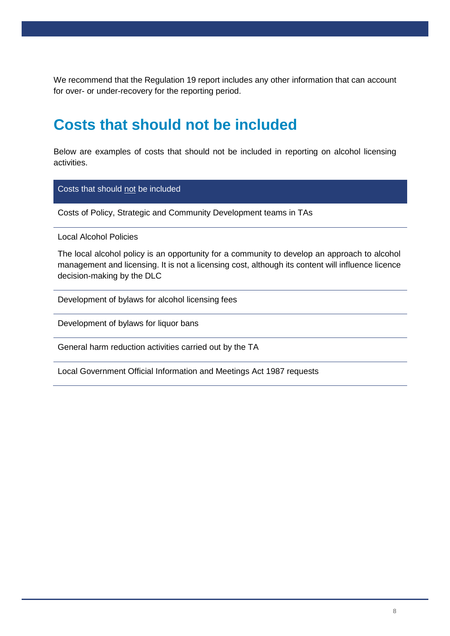We recommend that the Regulation 19 report includes any other information that can account for over- or under-recovery for the reporting period.

## <span id="page-9-0"></span>**Costs that should not be included**

Below are examples of costs that should not be included in reporting on alcohol licensing activities.

Costs that should not be included

Costs of Policy, Strategic and Community Development teams in TAs

Local Alcohol Policies

The local alcohol policy is an opportunity for a community to develop an approach to alcohol management and licensing. It is not a licensing cost, although its content will influence licence decision-making by the DLC

Development of bylaws for alcohol licensing fees

Development of bylaws for liquor bans

General harm reduction activities carried out by the TA

Local Government Official Information and Meetings Act 1987 requests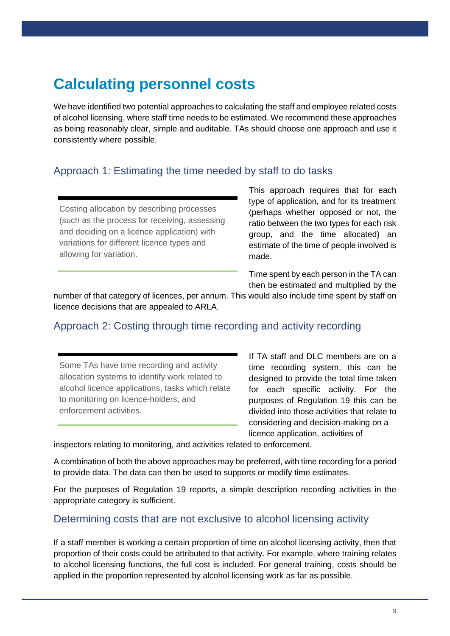## <span id="page-10-0"></span>**Calculating personnel costs**

We have identified two potential approaches to calculating the staff and employee related costs of alcohol licensing, where staff time needs to be estimated. We recommend these approaches as being reasonably clear, simple and auditable. TAs should choose one approach and use it consistently where possible.

### Approach 1: Estimating the time needed by staff to do tasks

Costing allocation by describing processes (such as the process for receiving, assessing and deciding on a licence application) with variations for different licence types and allowing for variation.

This approach requires that for each type of application, and for its treatment (perhaps whether opposed or not, the ratio between the two types for each risk group, and the time allocated) an estimate of the time of people involved is made.

Time spent by each person in the TA can then be estimated and multiplied by the

number of that category of licences, per annum. This would also include time spent by staff on licence decisions that are appealed to ARLA.

### Approach 2: Costing through time recording and activity recording

Some TAs have time recording and activity allocation systems to identify work related to alcohol licence applications, tasks which relate to monitoring on licence-holders, and enforcement activities.

If TA staff and DLC members are on a time recording system, this can be designed to provide the total time taken for each specific activity. For the purposes of Regulation 19 this can be divided into those activities that relate to considering and decision-making on a licence application, activities of

inspectors relating to monitoring, and activities related to enforcement.

A combination of both the above approaches may be preferred, with time recording for a period to provide data. The data can then be used to supports or modify time estimates.

For the purposes of Regulation 19 reports, a simple description recording activities in the appropriate category is sufficient.

### Determining costs that are not exclusive to alcohol licensing activity

If a staff member is working a certain proportion of time on alcohol licensing activity, then that proportion of their costs could be attributed to that activity. For example, where training relates to alcohol licensing functions, the full cost is included. For general training, costs should be applied in the proportion represented by alcohol licensing work as far as possible.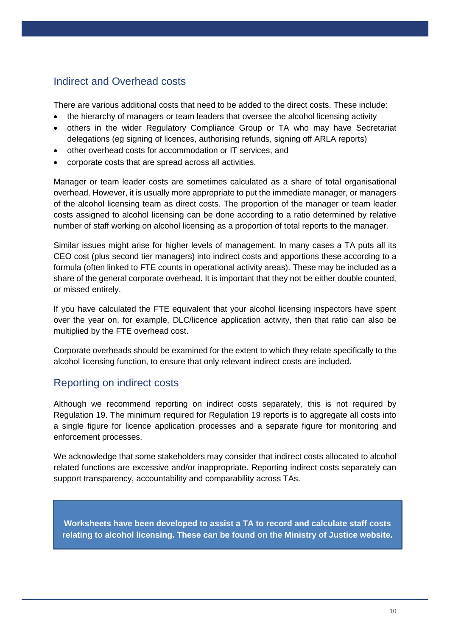### Indirect and Overhead costs

There are various additional costs that need to be added to the direct costs. These include:

- the hierarchy of managers or team leaders that oversee the alcohol licensing activity
- others in the wider Regulatory Compliance Group or TA who may have Secretariat delegations (eg signing of licences, authorising refunds, signing off ARLA reports)
- other overhead costs for accommodation or IT services, and
- corporate costs that are spread across all activities.

Manager or team leader costs are sometimes calculated as a share of total organisational overhead. However, it is usually more appropriate to put the immediate manager, or managers of the alcohol licensing team as direct costs. The proportion of the manager or team leader costs assigned to alcohol licensing can be done according to a ratio determined by relative number of staff working on alcohol licensing as a proportion of total reports to the manager.

Similar issues might arise for higher levels of management. In many cases a TA puts all its CEO cost (plus second tier managers) into indirect costs and apportions these according to a formula (often linked to FTE counts in operational activity areas). These may be included as a share of the general corporate overhead. It is important that they not be either double counted, or missed entirely.

If you have calculated the FTE equivalent that your alcohol licensing inspectors have spent over the year on, for example, DLC/licence application activity, then that ratio can also be multiplied by the FTE overhead cost.

Corporate overheads should be examined for the extent to which they relate specifically to the alcohol licensing function, to ensure that only relevant indirect costs are included.

### Reporting on indirect costs

Although we recommend reporting on indirect costs separately, this is not required by Regulation 19. The minimum required for Regulation 19 reports is to aggregate all costs into a single figure for licence application processes and a separate figure for monitoring and enforcement processes.

We acknowledge that some stakeholders may consider that indirect costs allocated to alcohol related functions are excessive and/or inappropriate. Reporting indirect costs separately can support transparency, accountability and comparability across TAs.

**Worksheets have been developed to assist a TA to record and calculate staff costs relating to alcohol licensing. These can be found on the Ministry of Justice website.**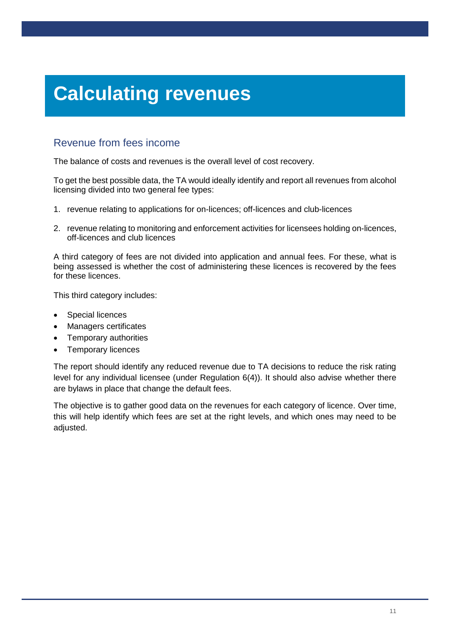# <span id="page-12-0"></span>**Calculating revenues**

### Revenue from fees income

The balance of costs and revenues is the overall level of cost recovery.

To get the best possible data, the TA would ideally identify and report all revenues from alcohol licensing divided into two general fee types:

- 1. revenue relating to applications for on-licences; off-licences and club-licences
- 2. revenue relating to monitoring and enforcement activities for licensees holding on-licences, off-licences and club licences

A third category of fees are not divided into application and annual fees. For these, what is being assessed is whether the cost of administering these licences is recovered by the fees for these licences.

This third category includes:

- Special licences
- Managers certificates
- Temporary authorities
- Temporary licences

The report should identify any reduced revenue due to TA decisions to reduce the risk rating level for any individual licensee (under Regulation 6(4)). It should also advise whether there are bylaws in place that change the default fees.

The objective is to gather good data on the revenues for each category of licence. Over time, this will help identify which fees are set at the right levels, and which ones may need to be adjusted.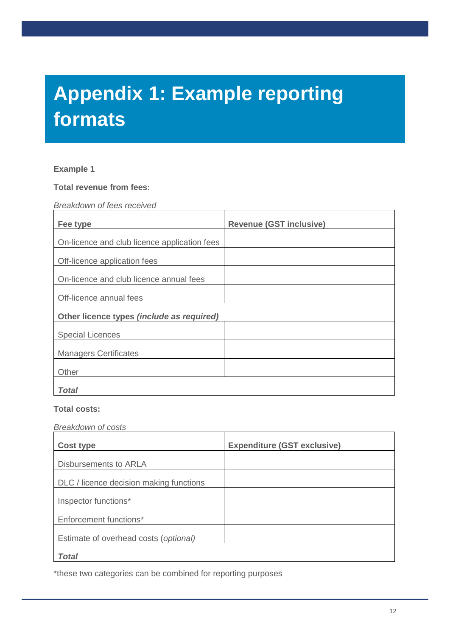# <span id="page-13-0"></span>**Appendix 1: Example reporting formats**

#### **Example 1**

**Total revenue from fees:**

*Breakdown of fees received*

| Fee type                                     | <b>Revenue (GST inclusive)</b> |
|----------------------------------------------|--------------------------------|
| On-licence and club licence application fees |                                |
| Off-licence application fees                 |                                |
| On-licence and club licence annual fees      |                                |
| Off-licence annual fees                      |                                |
| Other licence types (include as required)    |                                |
| <b>Special Licences</b>                      |                                |
| <b>Managers Certificates</b>                 |                                |
| Other                                        |                                |
| Total                                        |                                |

#### **Total costs:**

#### *Breakdown of costs*

| <b>Cost type</b>                        | <b>Expenditure (GST exclusive)</b> |
|-----------------------------------------|------------------------------------|
| Disbursements to ARLA                   |                                    |
| DLC / licence decision making functions |                                    |
| Inspector functions*                    |                                    |
| Enforcement functions*                  |                                    |
| Estimate of overhead costs (optional)   |                                    |
| Total                                   |                                    |

\*these two categories can be combined for reporting purposes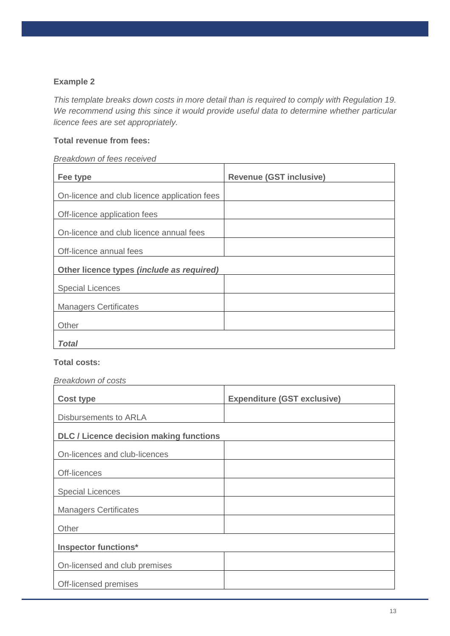### **Example 2**

*This template breaks down costs in more detail than is required to comply with Regulation 19. We recommend using this since it would provide useful data to determine whether particular licence fees are set appropriately.*

#### **Total revenue from fees:**

### *Breakdown of fees received*

| Fee type                                     | <b>Revenue (GST inclusive)</b> |
|----------------------------------------------|--------------------------------|
| On-licence and club licence application fees |                                |
| Off-licence application fees                 |                                |
| On-licence and club licence annual fees      |                                |
| Off-licence annual fees                      |                                |
| Other licence types (include as required)    |                                |
| <b>Special Licences</b>                      |                                |
| <b>Managers Certificates</b>                 |                                |
| Other                                        |                                |
| Total                                        |                                |

#### **Total costs:**

#### *Breakdown of costs*

| <b>Cost type</b>                               | <b>Expenditure (GST exclusive)</b> |
|------------------------------------------------|------------------------------------|
| Disbursements to ARLA                          |                                    |
| <b>DLC / Licence decision making functions</b> |                                    |
| On-licences and club-licences                  |                                    |
| Off-licences                                   |                                    |
| <b>Special Licences</b>                        |                                    |
| <b>Managers Certificates</b>                   |                                    |
| Other                                          |                                    |
| <b>Inspector functions*</b>                    |                                    |
| On-licensed and club premises                  |                                    |
| Off-licensed premises                          |                                    |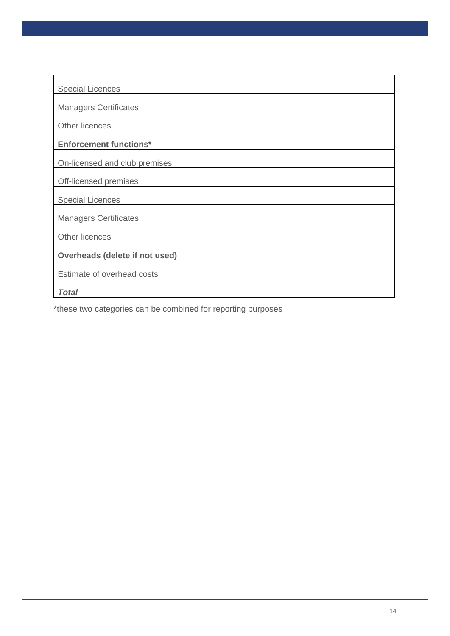| <b>Special Licences</b>        |  |  |
|--------------------------------|--|--|
| <b>Managers Certificates</b>   |  |  |
| Other licences                 |  |  |
| <b>Enforcement functions*</b>  |  |  |
| On-licensed and club premises  |  |  |
| Off-licensed premises          |  |  |
| <b>Special Licences</b>        |  |  |
| <b>Managers Certificates</b>   |  |  |
| Other licences                 |  |  |
| Overheads (delete if not used) |  |  |
| Estimate of overhead costs     |  |  |
| Total                          |  |  |

\*these two categories can be combined for reporting purposes